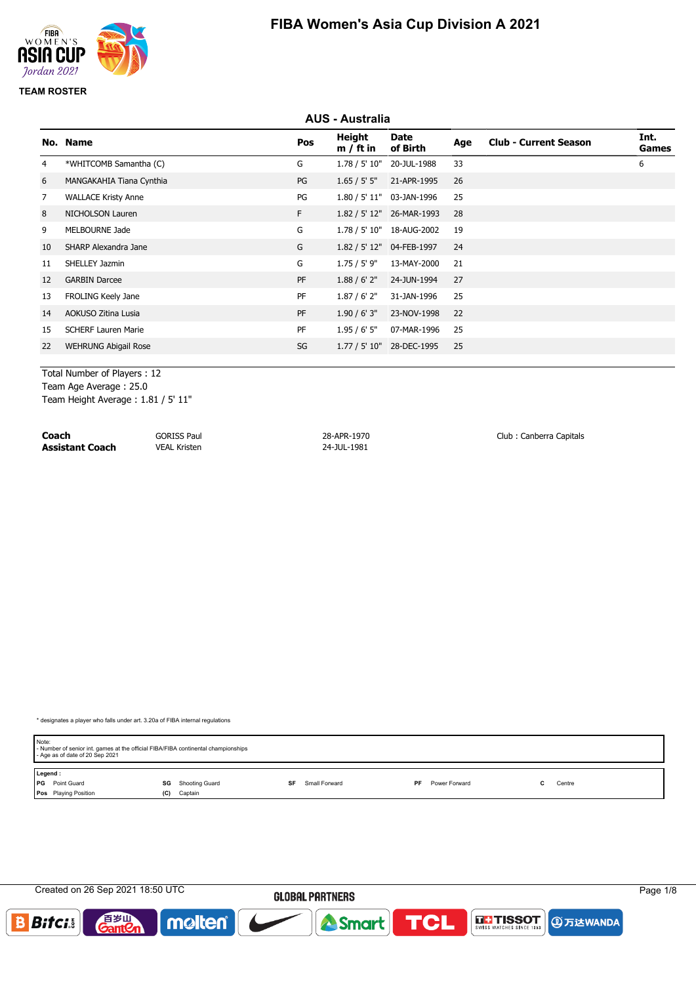

# **AUS - Australia No. Name Pos Height m / ft in Date of Birth Age Club - Current Season Int. Games** 4 \*WHITCOMB Samantha (C) G 1.78 / 5' 10" 20-JUL-1988 33 6 6 MANGAKAHIA Tiana Cynthia PG 1.65 / 5' 5" 21-APR-1995 26 7 WALLACE Kristy Anne PG 1.80 / 5' 11" 03-JAN-1996 25 8 NICHOLSON Lauren F 1.82 / 5' 12" 26-MAR-1993 28 9 MELBOURNE Jade G 1.78 / 5' 10" 18-AUG-2002 19 10 SHARP Alexandra Jane G 1.82 / 5' 12" 04-FEB-1997 24 11 SHELLEY Jazmin G 1.75 / 5' 9" 13-MAY-2000 21 12 GARBIN Darcee PF 1.88 / 6' 2" 24-JUN-1994 27 13 FROLING Keely Jane PF 1.87 / 6' 2" 31-JAN-1996 25 14 AOKUSO Zitina Lusia PF 1.90 / 6' 3" 23-NOV-1998 22 15 SCHERF Lauren Marie PF 1.95 / 6' 5" 07-MAR-1996 25 22 WEHRUNG Abigail Rose SG 1.77 / 5' 10" 28-DEC-1995 25

Total Number of Players : 12 Team Age Average : 25.0 Team Height Average : 1.81 / 5' 11"

**Coach** GORISS Paul 28-APR-1970 28-APR-1970 Club : Canberra Capitals<br>
29-JUL-1981 Coach VEAL Kristen 24-JUL-1981 **Assistant Coach** VEAL Kristen

\* designates a player who falls under art. 3.20a of FIBA internal regulations

| Note:<br>- Age as of date of 20 Sep 2021 | - Number of senior int. games at the official FIBA/FIBA continental championships |                     |                     |        |  |
|------------------------------------------|-----------------------------------------------------------------------------------|---------------------|---------------------|--------|--|
| Legend:                                  |                                                                                   |                     |                     |        |  |
| <b>PG</b> Point Guard                    | <b>SG</b> Shooting Guard                                                          | Small Forward<br>SF | Power Forward<br>PF | Centre |  |
| Pos Playing Position                     | Captain<br>(C)                                                                    |                     |                     |        |  |

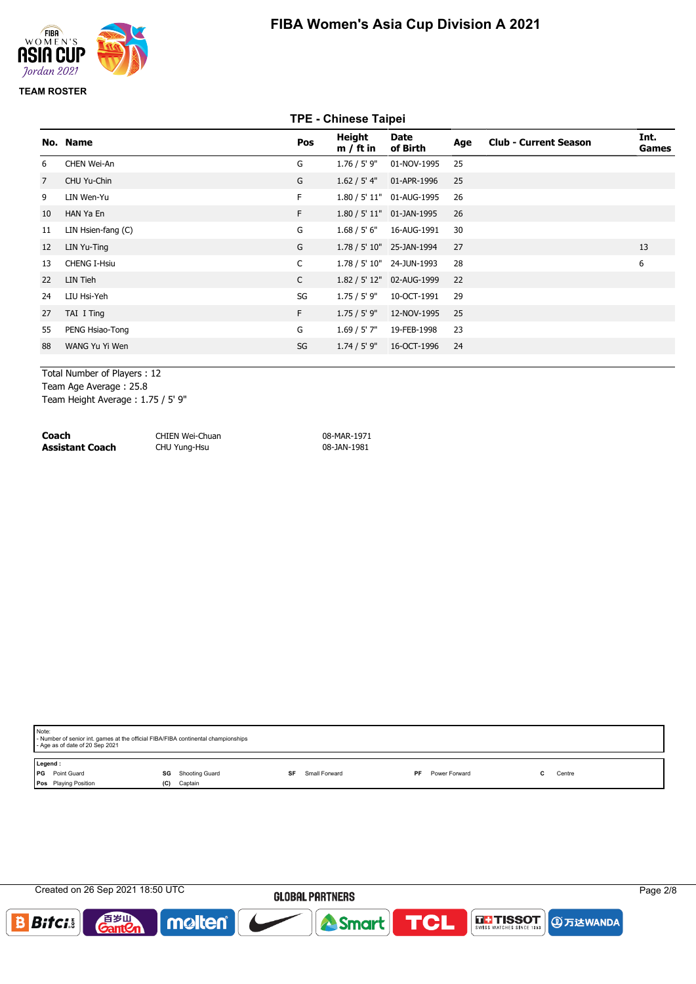

# **TPE - Chinese Taipei**

| No. Name            | Pos          | Height<br>$m / ft$ in | <b>Date</b><br>of Birth | Age                                                                                                                                                                       | <b>Club - Current Season</b> | Int.<br>Games |
|---------------------|--------------|-----------------------|-------------------------|---------------------------------------------------------------------------------------------------------------------------------------------------------------------------|------------------------------|---------------|
| CHEN Wei-An         | G            | $1.76 / 5'$ 9"        | 01-NOV-1995             | 25                                                                                                                                                                        |                              |               |
| CHU Yu-Chin         | G            | 1.62 / 5' 4"          | 01-APR-1996             | 25                                                                                                                                                                        |                              |               |
| LIN Wen-Yu          | F            |                       |                         | 26                                                                                                                                                                        |                              |               |
| HAN Ya En           | F            |                       |                         | 26                                                                                                                                                                        |                              |               |
| LIN Hsien-fang (C)  | G            |                       |                         | 30                                                                                                                                                                        |                              |               |
| LIN Yu-Ting         | G            |                       |                         | 27                                                                                                                                                                        |                              | 13            |
| <b>CHENG I-Hsiu</b> | $\mathsf{C}$ |                       |                         | 28                                                                                                                                                                        |                              | 6             |
| LIN Tieh            | $\mathsf{C}$ |                       |                         | 22                                                                                                                                                                        |                              |               |
| LIU Hsi-Yeh         | SG           | 1.75/5'9"             | 10-OCT-1991             | 29                                                                                                                                                                        |                              |               |
| TAI I Ting          | F            | 1.75 / 5' 9''         | 12-NOV-1995             | 25                                                                                                                                                                        |                              |               |
| PENG Hsiao-Tong     | G            | $1.69 / 5'$ 7"        | 19-FEB-1998             | 23                                                                                                                                                                        |                              |               |
| WANG Yu Yi Wen      | SG           | 1.74 / 5' 9"          | 16-OCT-1996             | 24                                                                                                                                                                        |                              |               |
|                     |              |                       |                         | 1.80 / 5' 11" 01-AUG-1995<br>1.80 / 5' 11" 01-JAN-1995<br>1.68 / 5' 6" 16-AUG-1991<br>1.78 / 5' 10" 25-JAN-1994<br>1.78 / 5' 10" 24-JUN-1993<br>1.82 / 5' 12" 02-AUG-1999 |                              |               |

Total Number of Players : 12

Team Age Average : 25.8

Team Height Average : 1.75 / 5' 9"

| Coach                  | CHIEN Wei-Chuan | 08-MAR-1971 |
|------------------------|-----------------|-------------|
| <b>Assistant Coach</b> | CHU Yung-Hsu    | 08-JAN-1981 |

| Note: | - Number of senior int. games at the official FIBA/FIBA continental championships<br>- Age as of date of 20 Sep 2021 |    |                      |  |               |    |               |  |        |
|-------|----------------------------------------------------------------------------------------------------------------------|----|----------------------|--|---------------|----|---------------|--|--------|
|       | Legend:                                                                                                              |    |                      |  |               |    |               |  |        |
| l PG  | Point Guard                                                                                                          | SG | Shooting Guard<br>SF |  | Small Forward | PF | Power Forward |  | Centre |
|       | Pos Playing Position<br>(C)                                                                                          |    | Captain              |  |               |    |               |  |        |
|       |                                                                                                                      |    |                      |  |               |    |               |  |        |

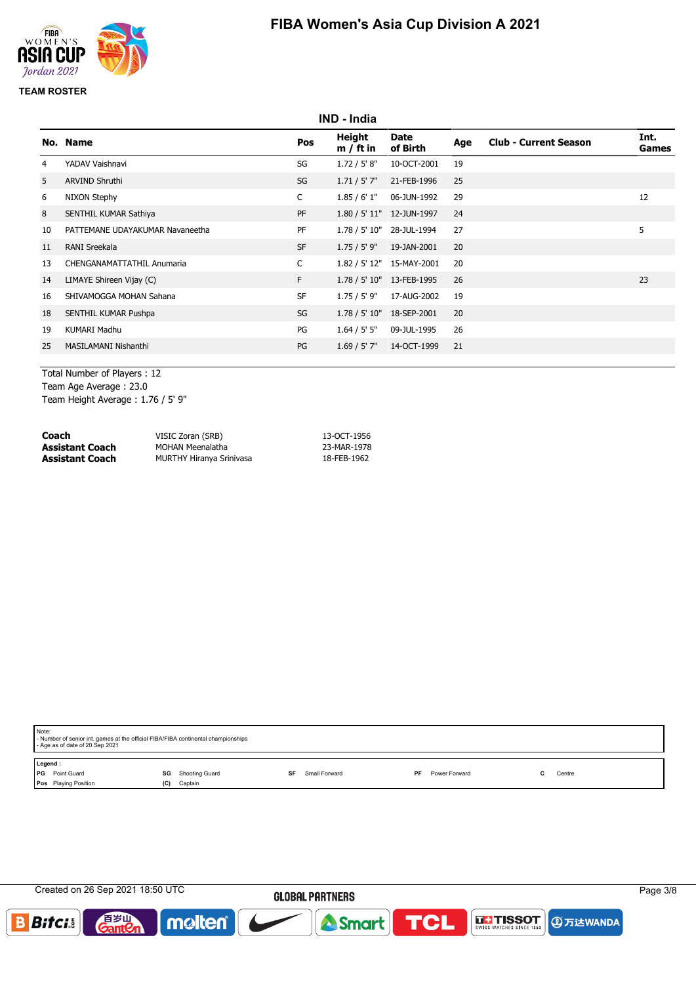

# **IND - India No. Name Pos Height m / ft in Date of Birth Age Club - Current Season Int. Games** 4 YADAV Vaishnavi SG 1.72 / 5' 8" 10-OCT-2001 19 5 ARVIND Shruthi SG 1.71 / 5' 7" 21-FEB-1996 25 6 NIXON Stephy C 1.85 / 6' 1" 06-JUN-1992 29 12 8 SENTHIL KUMAR Sathiya PF 1.80 / 5' 11" 12-JUN-1997 24 10 PATTEMANE UDAYAKUMAR Navaneetha PF 1.78 / 5' 10" 28-JUL-1994 27 5 11 RANI Sreekala SF 1.75 / 5' 9" 19-JAN-2001 20 13 CHENGANAMATTATHIL Anumaria C 1.82 / 5' 12" 15-MAY-2001 20 14 LIMAYE Shireen Vijay (C) F 1.78 / 5' 10" 13-FEB-1995 26 23 16 SHIVAMOGGA MOHAN Sahana SF 1.75 / 5' 9" 17-AUG-2002 19 18 SENTHIL KUMAR Pushpa SG 1.78 / 5' 10" 18-SEP-2001 20 19 KUMARI Madhu PG 1.64 / 5' 5" 09-JUL-1995 26 25 MASILAMANI Nishanthi PG 1.69 / 5' 7" 14-OCT-1999 21

Total Number of Players : 12 Team Age Average : 23.0 Team Height Average : 1.76 / 5' 9"

| Coach           | VISIC Zoran (SRB)               | 13-OCT-1956 |
|-----------------|---------------------------------|-------------|
| Assistant Coach | MOHAN Meenalatha                | 23-MAR-1978 |
| Assistant Coach | <b>MURTHY Hiranya Srinivasa</b> | 18-FEB-1962 |

| Note: | - Number of senior int. games at the official FIBA/FIBA continental championships<br>- Age as of date of 20 Sep 2021 |                          |           |               |                            |  |        |  |  |
|-------|----------------------------------------------------------------------------------------------------------------------|--------------------------|-----------|---------------|----------------------------|--|--------|--|--|
|       | Legend:                                                                                                              |                          |           |               |                            |  |        |  |  |
| l PG  | Point Guard                                                                                                          | <b>SG</b> Shooting Guard | <b>SF</b> | Small Forward | Power Forward<br><b>PF</b> |  | Centre |  |  |
|       | Pos Playing Position<br>(C)                                                                                          | Captain                  |           |               |                            |  |        |  |  |
|       |                                                                                                                      |                          |           |               |                            |  |        |  |  |

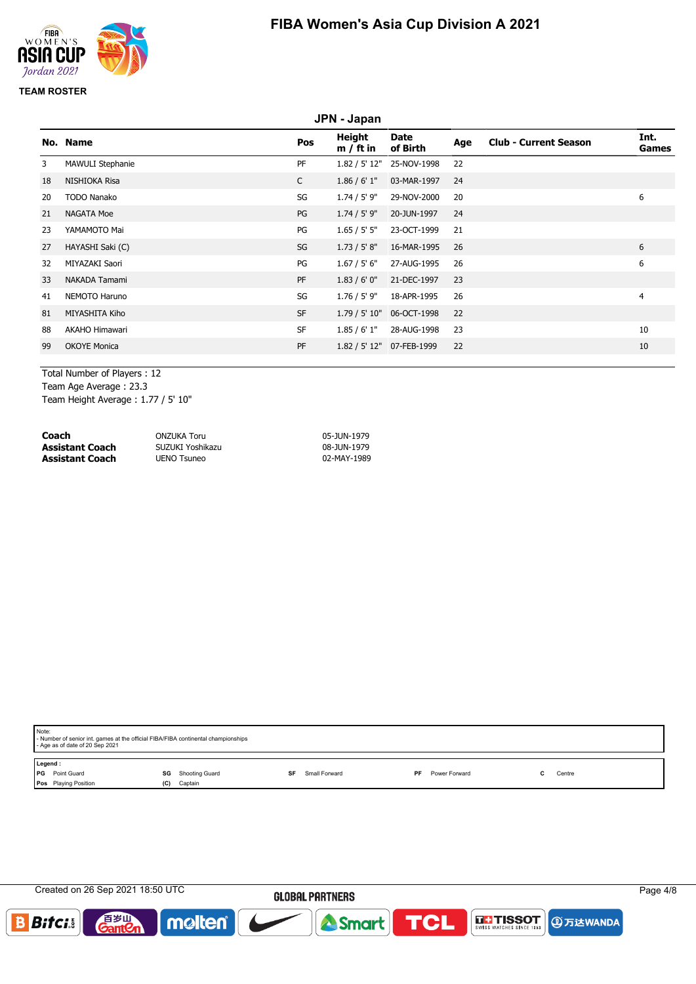

|    | JPN - Japan             |              |                       |                           |     |                              |                |
|----|-------------------------|--------------|-----------------------|---------------------------|-----|------------------------------|----------------|
|    | No. Name                | Pos          | Height<br>$m / ft$ in | Date<br>of Birth          | Age | <b>Club - Current Season</b> | Int.<br>Games  |
| 3  | <b>MAWULI Stephanie</b> | PF           | 1.82 / 5' 12"         | 25-NOV-1998               | 22  |                              |                |
| 18 | NISHIOKA Risa           | $\mathsf{C}$ | 1.86 / 6' 1''         | 03-MAR-1997               | 24  |                              |                |
| 20 | <b>TODO Nanako</b>      | SG           | $1.74 / 5'$ 9"        | 29-NOV-2000               | 20  |                              | 6              |
| 21 | <b>NAGATA Moe</b>       | PG           | $1.74 / 5'$ 9"        | 20-JUN-1997               | 24  |                              |                |
| 23 | YAMAMOTO Mai            | PG           | 1.65 / 5' 5''         | 23-OCT-1999               | 21  |                              |                |
| 27 | HAYASHI Saki (C)        | SG           | 1.73 / 5' 8''         | 16-MAR-1995               | 26  |                              | 6              |
| 32 | MIYAZAKI Saori          | PG           | 1.67 / 5' 6''         | 27-AUG-1995               | 26  |                              | 6              |
| 33 | NAKADA Tamami           | PF           | 1.83/6'0''            | 21-DEC-1997               | 23  |                              |                |
| 41 | NEMOTO Haruno           | SG           | $1.76 / 5'$ 9"        | 18-APR-1995               | 26  |                              | $\overline{4}$ |
| 81 | MIYASHITA Kiho          | <b>SF</b>    |                       | 1.79 / 5' 10" 06-OCT-1998 | 22  |                              |                |
| 88 | AKAHO Himawari          | <b>SF</b>    | 1.85/6'1"             | 28-AUG-1998               | 23  |                              | 10             |
| 99 | <b>OKOYE Monica</b>     | PF           |                       | 1.82 / 5' 12" 07-FEB-1999 | 22  |                              | 10             |
|    |                         |              |                       |                           |     |                              |                |

Total Number of Players : 12 Team Age Average : 23.3

Team Height Average : 1.77 / 5' 10"

| Coach                  | ONZUKA Toru      | 05-JUN-1979 |
|------------------------|------------------|-------------|
| <b>Assistant Coach</b> | SUZUKI Yoshikazu | 08-JUN-1979 |
| <b>Assistant Coach</b> | UENO Tsuneo      | 02-MAY-1989 |

| Note:     | - Number of senior int. games at the official FIBA/FIBA continental championships<br>- Age as of date of 20 Sep 2021 |     |                      |               |     |               |  |        |
|-----------|----------------------------------------------------------------------------------------------------------------------|-----|----------------------|---------------|-----|---------------|--|--------|
| Legend:   |                                                                                                                      |     |                      |               |     |               |  |        |
| <b>PG</b> | Point Guard                                                                                                          | SG  | Shooting Guard<br>SF | Small Forward | PF. | Power Forward |  | Centre |
|           | Pos Playing Position                                                                                                 | (C) | Captain              |               |     |               |  |        |
|           |                                                                                                                      |     |                      |               |     |               |  |        |

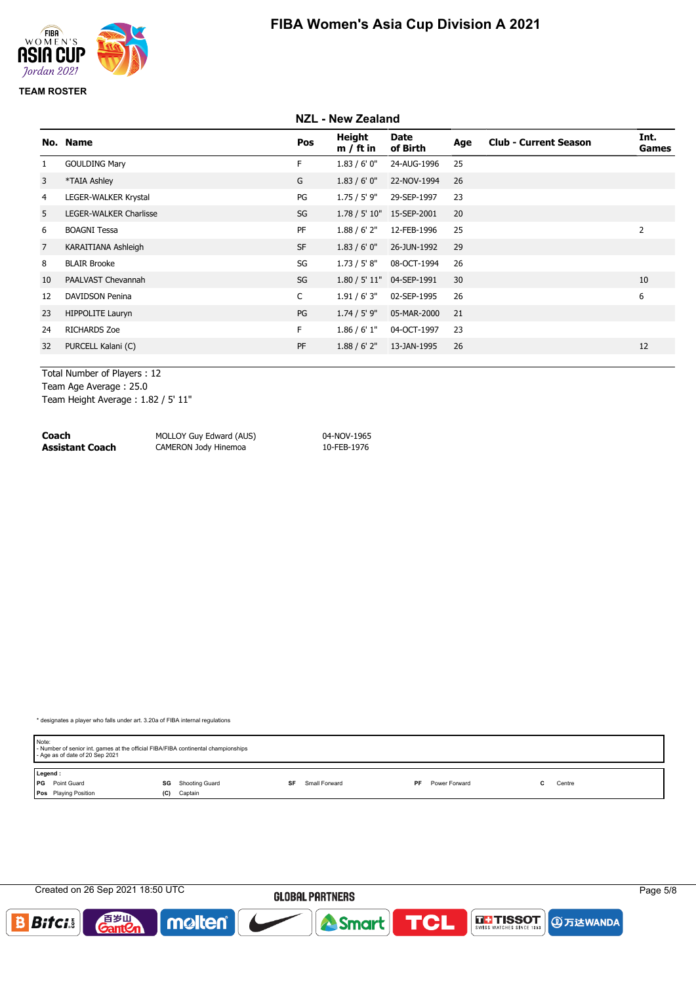

#### **NZL - New Zealand No. Name Pos Height m / ft in Date of Birth Age Club - Current Season Int. Games** 1 GOULDING Mary **F** 1.83 / 6' 0" 24-AUG-1996 25 3 \*TAIA Ashley G 1.83 / 6' 0" 22-NOV-1994 26 4 LEGER-WALKER Krystal PG 1.75 / 5' 9" 29-SEP-1997 23 5 LEGER-WALKER Charlisse SG 1.78 / 5' 10" 15-SEP-2001 20 6 BOAGNI Tessa PF 1.88 / 6' 2" 12-FEB-1996 25 2 7 KARAITIANA Ashleigh SF 1.83 / 6' 0" 26-JUN-1992 29 8 BLAIR Brooke SG 1.73 / 5' 8" 08-OCT-1994 26 10 PAALVAST Chevannah SG 1.80 / 5' 11" 04-SEP-1991 30 10 12 DAVIDSON Penina C 1.91 / 6' 3" 02-SEP-1995 26 6 23 HIPPOLITE Lauryn PG 1.74 / 5' 9" 05-MAR-2000 21 24 RICHARDS Zoe F 1.86 / 6' 1" 04-OCT-1997 23 32 PURCELL Kalani (C) 12 PURCELL Kalani (C) 2 PF 1.88 / 6' 2" 13-JAN-1995 26 12

Total Number of Players : 12 Team Age Average : 25.0 Team Height Average : 1.82 / 5' 11"

**Coach** MOLLOY Guy Edward (AUS) 04-NOV-1965 **CAMERON Jody Hinemoa** 

\* designates a player who falls under art. 3.20a of FIBA internal regulations

| Note:                 | - Number of senior int. games at the official FIBA/FIBA continental championships<br>- Age as of date of 20 Sep 2021 |     |                |    |               |           |               |  |        |
|-----------------------|----------------------------------------------------------------------------------------------------------------------|-----|----------------|----|---------------|-----------|---------------|--|--------|
| Legend:               |                                                                                                                      |     |                |    |               |           |               |  |        |
| <b>PG</b> Point Guard |                                                                                                                      | SG  | Shooting Guard | SF | Small Forward | <b>PF</b> | Power Forward |  | Centre |
|                       | <b>Pos</b> Playing Position                                                                                          | (C) | Captain        |    |               |           |               |  |        |

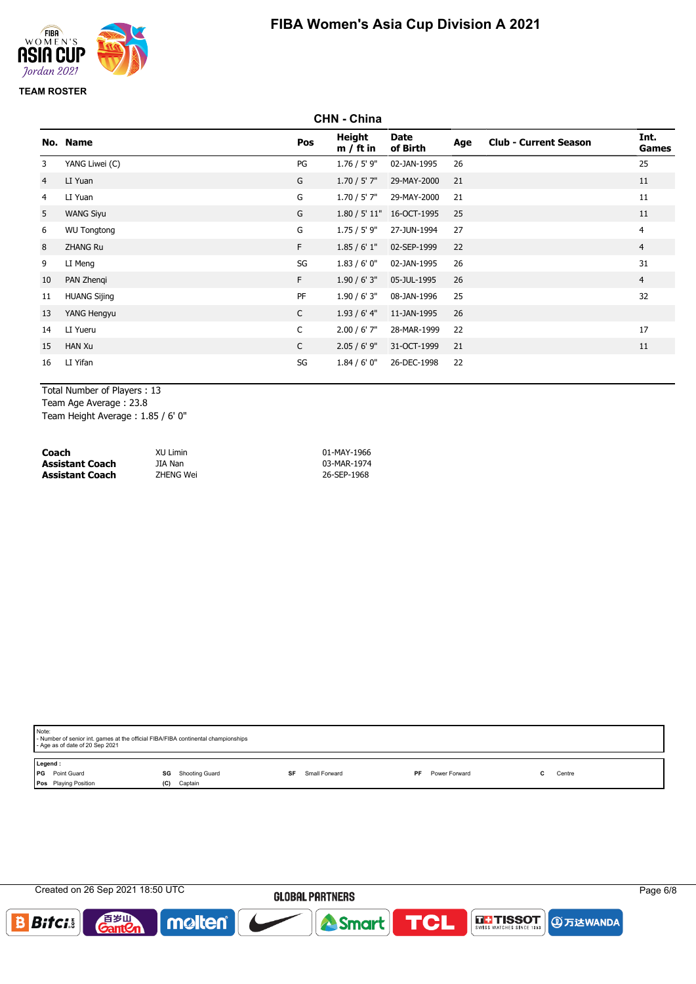

# **FIBA Women's Asia Cup Division A 2021**

|                | <b>CHN - China</b>  |              |                       |                           |     |                              |                |
|----------------|---------------------|--------------|-----------------------|---------------------------|-----|------------------------------|----------------|
|                | No. Name            | Pos          | Height<br>$m / ft$ in | <b>Date</b><br>of Birth   | Age | <b>Club - Current Season</b> | Int.<br>Games  |
| 3              | YANG Liwei (C)      | PG           | $1.76 / 5'$ 9"        | 02-JAN-1995               | 26  |                              | 25             |
| $\overline{4}$ | LI Yuan             | G            | $1.70 / 5'$ 7"        | 29-MAY-2000               | 21  |                              | 11             |
| 4              | LI Yuan             | G            | $1.70 / 5'$ 7"        | 29-MAY-2000               | 21  |                              | 11             |
| 5              | <b>WANG Siyu</b>    | G            |                       | 1.80 / 5' 11" 16-OCT-1995 | 25  |                              | 11             |
| 6              | <b>WU Tongtong</b>  | G            | 1.75 / 5' 9"          | 27-JUN-1994               | 27  |                              | 4              |
| 8              | <b>ZHANG Ru</b>     | F.           | 1.85/6'1"             | 02-SEP-1999               | 22  |                              | $\overline{4}$ |
| 9              | LI Meng             | SG           | 1.83/6'0''            | 02-JAN-1995               | 26  |                              | 31             |
| 10             | PAN Zhengi          | F.           | 1.90 / 6' 3''         | 05-JUL-1995               | 26  |                              | $\overline{4}$ |
| 11             | <b>HUANG Sijing</b> | PF           | 1.90/6'3''            | 08-JAN-1996               | 25  |                              | 32             |
| 13             | YANG Hengyu         | $\mathsf{C}$ | 1.93/6'4"             | 11-JAN-1995               | 26  |                              |                |
| 14             | LI Yueru            | $\mathsf{C}$ | $2.00 / 6'$ 7"        | 28-MAR-1999               | 22  |                              | 17             |
| 15             | <b>HAN Xu</b>       | $\mathsf{C}$ | $2.05 / 6'$ 9"        | 31-OCT-1999               | 21  |                              | 11             |
| 16             | LI Yifan            | SG           | 1.84/6'0''            | 26-DEC-1998               | 22  |                              |                |

Total Number of Players : 13 Team Age Average : 23.8 Team Height Average : 1.85 / 6' 0"

| Coach                  | XU Limin  | 01-MAY-1966 |
|------------------------|-----------|-------------|
| <b>Assistant Coach</b> | JIA Nan   | 03-MAR-1974 |
| <b>Assistant Coach</b> | ZHENG Wei | 26-SEP-1968 |

|         | Note:<br>- Number of senior int. games at the official FIBA/FIBA continental championships<br>- Age as of date of 20 Sep 2021 |                |    |               |    |               |  |        |  |
|---------|-------------------------------------------------------------------------------------------------------------------------------|----------------|----|---------------|----|---------------|--|--------|--|
| Legend: |                                                                                                                               |                |    |               |    |               |  |        |  |
| l PG    | Point Guard<br>SG                                                                                                             | Shooting Guard | SF | Small Forward | PF | Power Forward |  | Centre |  |
|         | Pos Playing Position<br>(C)                                                                                                   | Captain        |    |               |    |               |  |        |  |
|         |                                                                                                                               |                |    |               |    |               |  |        |  |

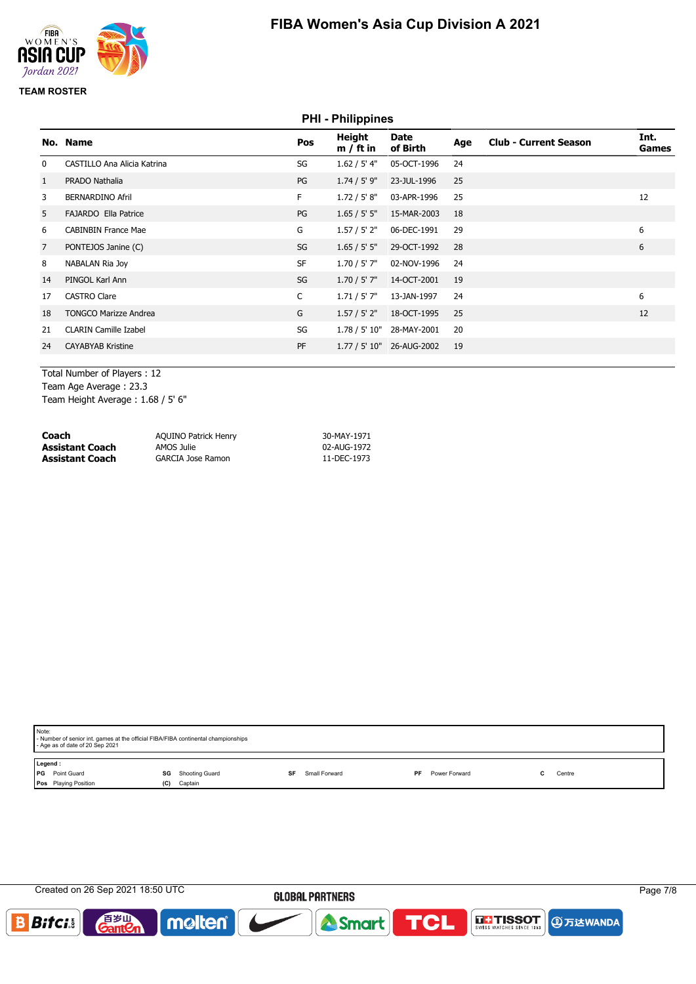

# **PHI - Philippines No. Name Pos Height m / ft in Date of Birth Age Club - Current Season Int. Games** 0 CASTILLO Ana Alicia Katrina 1990 1991 1.62 / 5' 4" 05-OCT-1996 24 1 PRADO Nathalia PG 1.74 / 5' 9" 23-JUL-1996 25 3 BERNARDINO Afril F 1.72 / 5' 8" 03-APR-1996 25 12 5 FAJARDO Ella Patrice PG 1.65 / 5' 5" 15-MAR-2003 18 6 CABINBIN France Mae 6 CABINBIN France Mae 6 CABINBIN France Mae 6 CABINBIN France Mae 6 G 7 PONTEJOS Janine (C) 6 SG 1.65 / 5' 5" 29-OCT-1992 28 6 6 8 NABALAN Ria Joy 3 24 1.70 / 5' 7" 02-NOV-1996 24 14 PINGOL Karl Ann SG 1.70 / 5' 7" 14-OCT-2001 19 17 CASTRO Clare C 1.71 / 5' 7" 13-JAN-1997 24 6 18 TONGCO Marizze Andrea 20 1 1.57 / 5' 2" 18-OCT-1995 25 21 CLARIN Camille Izabel 20 SG 1.78 / 5' 10" 28-MAY-2001 20 24 CAYABYAB Kristine PF 1.77 / 5' 10" 26-AUG-2002 19

Total Number of Players : 12 Team Age Average : 23.3 Team Height Average : 1.68 / 5' 6"

| Coach           | <b>AQUINO Patrick Henry</b> | 30-MAY-1971 |
|-----------------|-----------------------------|-------------|
| Assistant Coach | AMOS Julie                  | 02-AUG-1972 |
| Assistant Coach | GARCIA Jose Ramon           | 11-DEC-1973 |

| Note:   | - Number of senior int. games at the official FIBA/FIBA continental championships<br>- Age as of date of 20 Sep 2021 |     |                                |  |               |    |               |    |        |  |
|---------|----------------------------------------------------------------------------------------------------------------------|-----|--------------------------------|--|---------------|----|---------------|----|--------|--|
| Legend: |                                                                                                                      |     |                                |  |               |    |               |    |        |  |
| l PG    | Point Guard                                                                                                          |     | <b>SG</b> Shooting Guard<br>SF |  | Small Forward | PF | Power Forward | C. | Centre |  |
|         | Pos Playing Position                                                                                                 | (C) | Captain                        |  |               |    |               |    |        |  |
|         |                                                                                                                      |     |                                |  |               |    |               |    |        |  |